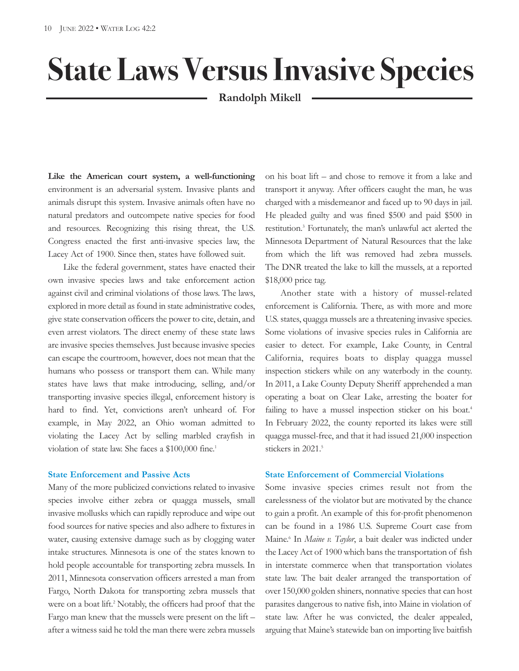# **State Laws VersusInvasive Species**

# **Randolph Mikell**

**Like the American court system, a well-functioning** environment is an adversarial system. Invasive plants and animals disrupt this system. Invasive animals often have no natural predators and outcompete native species for food and resources. Recognizing this rising threat, the U.S. Congress enacted the first anti-invasive species law, the Lacey Act of 1900. Since then, states have followed suit.

Like the federal government, states have enacted their own invasive species laws and take enforcement action against civil and criminal violations of those laws. The laws, explored in more detail as found in state administrative codes, give state conservation officers the power to cite, detain, and even arrest violators. The direct enemy of these state laws are invasive species themselves. Just because invasive species can escape the courtroom, however, does not mean that the humans who possess or transport them can. While many states have laws that make introducing, selling, and/or transporting invasive species illegal, enforcement history is hard to find. Yet, convictions aren't unheard of. For example, in May 2022, an Ohio woman admitted to violating the Lacey Act by selling marbled crayfish in violation of state law. She faces a \$100,000 fine. 1

# **State Enforcement and Passive Acts**

Many of the more publicized convictions related to invasive species involve either zebra or quagga mussels, small invasive mollusks which can rapidly reproduce and wipe out food sources for native species and also adhere to fixtures in water, causing extensive damage such as by clogging water intake structures. Minnesota is one of the states known to hold people accountable for transporting zebra mussels. In 2011, Minnesota conservation officers arrested a man from Fargo, North Dakota for transporting zebra mussels that were on a boat lift. <sup>2</sup> Notably, the officers had proof that the Fargo man knew that the mussels were present on the lift – after a witness said he told the man there were zebra mussels on his boat lift – and chose to remove it from a lake and transport it anyway. After officers caught the man, he was charged with a misdemeanor and faced up to 90 days in jail. He pleaded guilty and was fined \$500 and paid \$500 in restitution. <sup>3</sup> Fortunately, the man's unlawful act alerted the Minnesota Department of Natural Resources that the lake from which the lift was removed had zebra mussels. The DNR treated the lake to kill the mussels, at a reported \$18,000 price tag.

Another state with a history of mussel-related enforcement is California. There, as with more and more U.S. states, quagga mussels are a threatening invasive species. Some violations of invasive species rules in California are easier to detect. For example, Lake County, in Central California, requires boats to display quagga mussel inspection stickers while on any waterbody in the county. In 2011, a Lake County Deputy Sheriff apprehended a man operating a boat on Clear Lake, arresting the boater for failing to have a mussel inspection sticker on his boat.<sup>4</sup> In February 2022, the county reported its lakes were still quagga mussel-free, and that it had issued 21,000 inspection stickers in 2021. 5

## **State Enforcement of Commercial Violations**

Some invasive species crimes result not from the carelessness of the violator but are motivated by the chance to gain a profit. An example of this for-profit phenomenon can be found in a 1986 U.S. Supreme Court case from Maine. <sup>6</sup> In *Maine v. Taylor*, a bait dealer was indicted under the Lacey Act of 1900 which bans the transportation of fish in interstate commerce when that transportation violates state law. The bait dealer arranged the transportation of over 150,000 golden shiners, nonnative species that can host parasites dangerous to native fish, into Maine in violation of state law. After he was convicted, the dealer appealed, arguing that Maine's statewide ban on importing live baitfish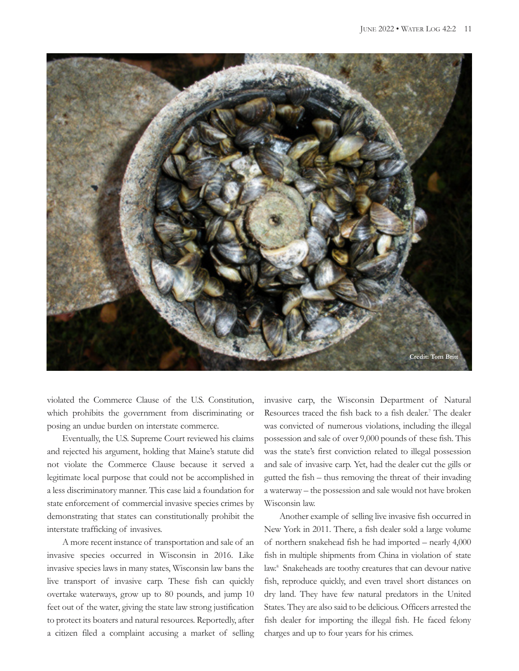

violated the Commerce Clause of the U.S. Constitution, which prohibits the government from discriminating or posing an undue burden on interstate commerce.

Eventually, the U.S. Supreme Court reviewed his claims and rejected his argument, holding that Maine's statute did not violate the Commerce Clause because it served a legitimate local purpose that could not be accomplished in a less discriminatory manner. This case laid a foundation for state enforcement of commercial invasive species crimes by demonstrating that states can constitutionally prohibit the interstate trafficking of invasives.

A more recent instance of transportation and sale of an invasive species occurred in Wisconsin in 2016. Like invasive species laws in many states, Wisconsin law bans the live transport of invasive carp. These fish can quickly overtake waterways, grow up to 80 pounds, and jump 10 feet out of the water, giving the state law strong justification to protect its boaters and natural resources. Reportedly, after a citizen filed a complaint accusing a market of selling invasive carp, the Wisconsin Department of Natural Resources traced the fish back to a fish dealer. <sup>7</sup> The dealer was convicted of numerous violations, including the illegal possession and sale of over 9,000 pounds of these fish. This was the state's first conviction related to illegal possession and sale of invasive carp. Yet, had the dealer cut the gills or gutted the fish – thus removing the threat of their invading a waterway – the possession and sale would not have broken Wisconsin law.

Another example of selling live invasive fish occurred in New York in 2011. There, a fish dealer sold a large volume of northern snakehead fish he had imported – nearly 4,000 fish in multiple shipments from China in violation of state law. <sup>8</sup> Snakeheads are toothy creatures that can devour native fish, reproduce quickly, and even travel short distances on dry land. They have few natural predators in the United States. They are also said to be delicious. Officers arrested the fish dealer for importing the illegal fish. He faced felony charges and up to four years for his crimes.